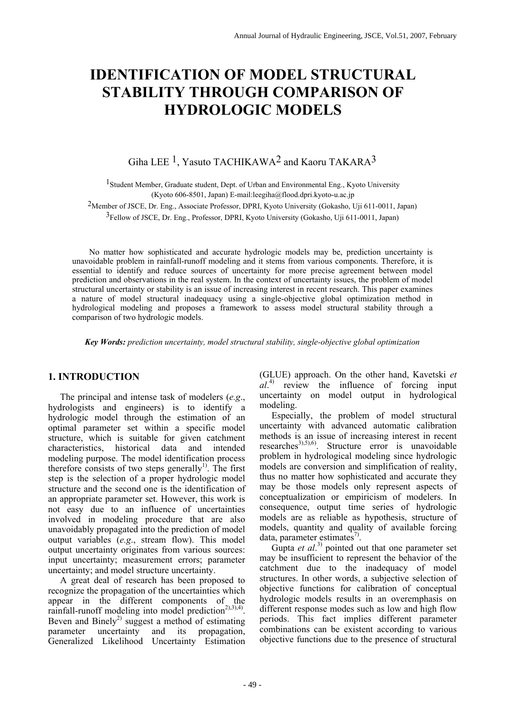# **IDENTIFICATION OF MODEL STRUCTURAL STABILITY THROUGH COMPARISON OF HYDROLOGIC MODELS**

## Giha LEE<sup>1</sup>, Yasuto TACHIKAWA<sup>2</sup> and Kaoru TAKARA<sup>3</sup>

1Student Member, Graduate student, Dept. of Urban and Environmental Eng., Kyoto University (Kyoto 606-8501, Japan) E-mail:leegiha@flood.dpri.kyoto-u.ac.jp

2Member of JSCE, Dr. Eng., Associate Professor, DPRI, Kyoto University (Gokasho, Uji 611-0011, Japan)

3Fellow of JSCE, Dr. Eng., Professor, DPRI, Kyoto University (Gokasho, Uji 611-0011, Japan)

 No matter how sophisticated and accurate hydrologic models may be, prediction uncertainty is unavoidable problem in rainfall-runoff modeling and it stems from various components. Therefore, it is essential to identify and reduce sources of uncertainty for more precise agreement between model prediction and observations in the real system. In the context of uncertainty issues, the problem of model structural uncertainty or stability is an issue of increasing interest in recent research. This paper examines a nature of model structural inadequacy using a single-objective global optimization method in hydrological modeling and proposes a framework to assess model structural stability through a comparison of two hydrologic models.

 *Key Words: prediction uncertainty, model structural stability, single-objective global optimization* 

### **1. INTRODUCTION**

The principal and intense task of modelers (*e.g*., hydrologists and engineers) is to identify a hydrologic model through the estimation of an optimal parameter set within a specific model structure, which is suitable for given catchment characteristics, historical data and intended modeling purpose. The model identification process therefore consists of two steps generally<sup>1)</sup>. The first step is the selection of a proper hydrologic model structure and the second one is the identification of an appropriate parameter set. However, this work is not easy due to an influence of uncertainties involved in modeling procedure that are also unavoidably propagated into the prediction of model output variables (*e.g*., stream flow). This model output uncertainty originates from various sources: input uncertainty; measurement errors; parameter uncertainty; and model structure uncertainty.

A great deal of research has been proposed to recognize the propagation of the uncertainties which appear in the different components of the rainfall-runoff modeling into model prediction<sup>2),3),4)</sup>. Beven and Binely<sup>2)</sup> suggest a method of estimating parameter uncertainty and its propagation, Generalized Likelihood Uncertainty Estimation (GLUE) approach. On the other hand, Kavetski *et al*. 4) review the influence of forcing input uncertainty on model output in hydrological modeling.

Especially, the problem of model structural uncertainty with advanced automatic calibration methods is an issue of increasing interest in recent researches<sup>3),5),6)</sup>. Structure error is unavoidable problem in hydrological modeling since hydrologic models are conversion and simplification of reality, thus no matter how sophisticated and accurate they may be those models only represent aspects of conceptualization or empiricism of modelers. In consequence, output time series of hydrologic models are as reliable as hypothesis, structure of models, quantity and quality of available forcing data, parameter estimates<sup>7)</sup>.

Gupta *et al.*<sup>3)</sup> pointed out that one parameter set may be insufficient to represent the behavior of the catchment due to the inadequacy of model structures. In other words, a subjective selection of objective functions for calibration of conceptual hydrologic models results in an overemphasis on different response modes such as low and high flow periods. This fact implies different parameter combinations can be existent according to various objective functions due to the presence of structural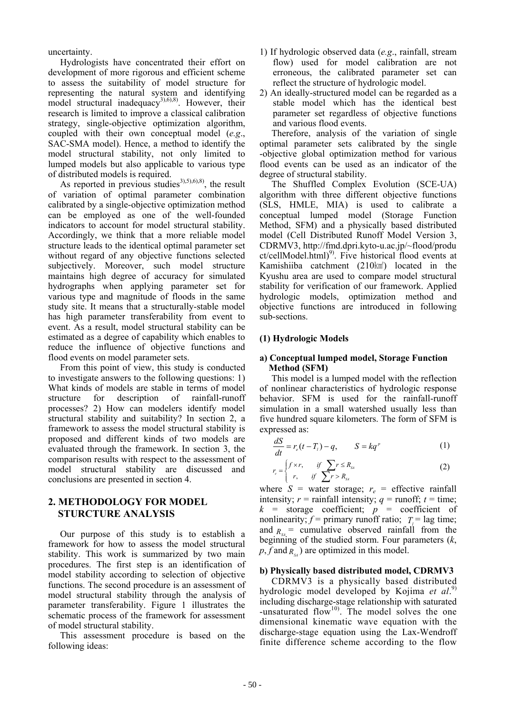uncertainty.

Hydrologists have concentrated their effort on development of more rigorous and efficient scheme to assess the suitability of model structure for representing the natural system and identifying model structural inadequacy<sup>3),6),8)</sup>. However, their research is limited to improve a classical calibration strategy, single-objective optimization algorithm, coupled with their own conceptual model (*e.g*., SAC-SMA model). Hence, a method to identify the model structural stability, not only limited to lumped models but also applicable to various type of distributed models is required.

As reported in previous studies<sup>3),5),6),8)</sup>, the result of variation of optimal parameter combination calibrated by a single-objective optimization method can be employed as one of the well-founded indicators to account for model structural stability. Accordingly, we think that a more reliable model structure leads to the identical optimal parameter set without regard of any objective functions selected subjectively. Moreover, such model structure maintains high degree of accuracy for simulated hydrographs when applying parameter set for various type and magnitude of floods in the same study site. It means that a structurally-stable model has high parameter transferability from event to event. As a result, model structural stability can be estimated as a degree of capability which enables to reduce the influence of objective functions and flood events on model parameter sets.

From this point of view, this study is conducted to investigate answers to the following questions: 1) What kinds of models are stable in terms of model structure for description of rainfall-runoff processes? 2) How can modelers identify model structural stability and suitability? In section 2, a framework to assess the model structural stability is proposed and different kinds of two models are evaluated through the framework. In section 3, the comparison results with respect to the assessment of model structural stability are discussed and conclusions are presented in section 4.

#### **2. METHODOLOGY FOR MODEL STURCTURE ANALYSIS**

Our purpose of this study is to establish a framework for how to assess the model structural stability. This work is summarized by two main procedures. The first step is an identification of model stability according to selection of objective functions. The second procedure is an assessment of model structural stability through the analysis of parameter transferability. Figure 1 illustrates the schematic process of the framework for assessment of model structural stability.

This assessment procedure is based on the following ideas:

- 1) If hydrologic observed data (*e.g*., rainfall, stream flow) used for model calibration are not erroneous, the calibrated parameter set can reflect the structure of hydrologic model.
- 2) An ideally-structured model can be regarded as a stable model which has the identical best parameter set regardless of objective functions and various flood events.

Therefore, analysis of the variation of single optimal parameter sets calibrated by the single -objective global optimization method for various flood events can be used as an indicator of the degree of structural stability.

The Shuffled Complex Evolution (SCE-UA) algorithm with three different objective functions (SLS, HMLE, MIA) is used to calibrate a conceptual lumped model (Storage Function Method, SFM) and a physically based distributed model (Cell Distributed Runoff Model Version 3, CDRMV3, http://fmd.dpri.kyto-u.ac.jp/~flood/produ  $ct/cellModel.html$ <sup>9)</sup>. Five historical flood events at Kamishiiba catchment (210㎢) located in the Kyushu area are used to compare model structural stability for verification of our framework. Applied hydrologic models, optimization method and objective functions are introduced in following sub-sections.

#### **(1) Hydrologic Models**

#### **a) Conceptual lumped model, Storage Function Method (SFM)**

This model is a lumped model with the reflection of nonlinear characteristics of hydrologic response behavior. SFM is used for the rainfall-runoff simulation in a small watershed usually less than five hundred square kilometers. The form of SFM is expressed as:

$$
\frac{dS}{dt} = r_e(t - T_t) - q, \qquad S = kq^p \tag{1}
$$

$$
r_c = \begin{cases} f \times r, & \text{if } \sum r \le R_{\scriptscriptstyle\mathcal{S}4} \\ r, & \text{if } \sum r > R_{\scriptscriptstyle\mathcal{S}4} \end{cases}
$$
 (2)

where  $S =$  water storage;  $r_e =$  effective rainfall intensity;  $r = \text{rainfall intensity}$ ;  $q = \text{runoff}$ ;  $t = \text{time}$ ;  $k =$  storage coefficient;  $p =$  coefficient of nonlinearity;  $f =$  primary runoff ratio;  $T =$  lag time; and  $R_{\rm g}$  = cumulative observed rainfall from the beginning of the studied storm. Four parameters (*k*,  $p, f$  and  $R_{\rm s}$ ) are optimized in this model.

#### **b) Physically based distributed model, CDRMV3**

CDRMV3 is a physically based distributed hydrologic model developed by Kojima *et al*. 9) including discharge-stage relationship with saturated -unsaturated flow<sup>10</sup>. The model solves the one dimensional kinematic wave equation with the discharge-stage equation using the Lax-Wendroff finite difference scheme according to the flow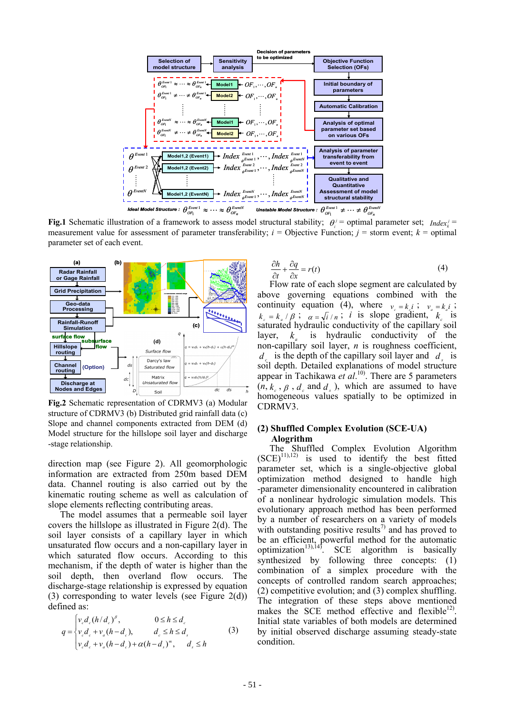

**Fig.1** Schematic illustration of a framework to assess model structural stability;  $\theta_i^j$  = optimal parameter set; *Index* = measurement value for assessment of parameter transferability;  $i =$  Objective Function;  $j =$  storm event;  $k =$  optimal parameter set of each event.



**Fig.2** Schematic representation of CDRMV3 (a) Modular structure of CDRMV3 (b) Distributed grid rainfall data (c) Slope and channel components extracted from DEM (d) Model structure for the hillslope soil layer and discharge -stage relationship.

direction map (see Figure 2). All geomorphologic information are extracted from 250m based DEM data. Channel routing is also carried out by the kinematic routing scheme as well as calculation of slope elements reflecting contributing areas.

The model assumes that a permeable soil layer covers the hillslope as illustrated in Figure 2(d). The soil layer consists of a capillary layer in which unsaturated flow occurs and a non-capillary layer in which saturated flow occurs. According to this mechanism, if the depth of water is higher than the soil depth, then overland flow occurs. The discharge-stage relationship is expressed by equation (3) corresponding to water levels (see Figure 2(d)) defined as:

$$
q = \begin{cases} v_c d_c (h/d_c)^{\beta}, & 0 \le h \le d_c \\ v_c d_c + v_a (h - d_c), & d_c \le h \le d_s \\ v_c d_c + v_a (h - d_c) + \alpha (h - d_s)^m, & d_s \le h \end{cases}
$$
 (3)

$$
\frac{\partial h}{\partial t} + \frac{\partial q}{\partial x} = r(t) \tag{4}
$$

Flow rate of each slope segment are calculated by above governing equations combined with the continuity equation (4), where  $v_e = k_i i$ ;  $v_e = k_i i$ ;  $k = k / \beta$ ;  $\alpha = \sqrt{i / n}$ ; *i* is slope gradient,  $k_{\alpha}$  is saturated hydraulic conductivity of the capillary soil layer,  $k_a$  is hydraulic conductivity of the non-capillary soil layer, *n* is roughness coefficient,  $d_c$  is the depth of the capillary soil layer and  $d_c$  is soil depth. Detailed explanations of model structure appear in Tachikawa *et al*. 10). There are 5 parameters  $(n, k_1, \beta, d_2, \text{ and } d_1)$ , which are assumed to have homogeneous values spatially to be optimized in CDRMV3.

#### **(2) Shuffled Complex Evolution (SCE-UA) Alogrithm**

The Shuffled Complex Evolution Algorithm  $(SCE)^{11,12}$  is used to identify the best fitted parameter set, which is a single-objective global optimization method designed to handle high -parameter dimensionality encountered in calibration of a nonlinear hydrologic simulation models. This evolutionary approach method has been performed by a number of researchers on a variety of models with outstanding positive results<sup>7)</sup> and has proved to be an efficient, powerful method for the automatic optimization<sup>13),14)</sup>. SCE algorithm is basically synthesized by following three concepts: (1) combination of a simplex procedure with the concepts of controlled random search approaches; (2) competitive evolution; and (3) complex shuffling. The integration of these steps above mentioned makes the SCE method effective and flexible $^{12}$ . Initial state variables of both models are determined by initial observed discharge assuming steady-state condition.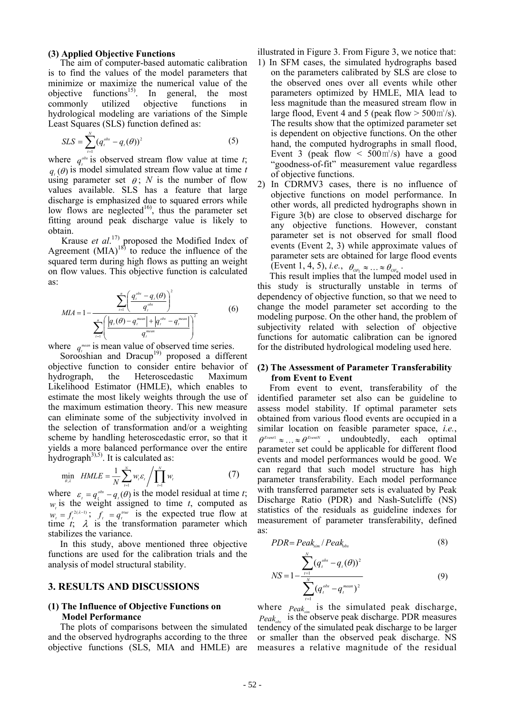#### **(3) Applied Objective Functions**

The aim of computer-based automatic calibration is to find the values of the model parameters that minimize or maximize the numerical value of the objective functions<sup>15)</sup>. In general, the most commonly utilized objective functions in hydrological modeling are variations of the Simple Least Squares (SLS) function defined as:

$$
SLS = \sum_{t=1}^{N} (q_t^{obs} - q_t(\theta))^2
$$
 (5)

where  $q_t^{\text{obs}}$  is observed stream flow value at time *t*;  $q_{\mu}(\theta)$  is model simulated stream flow value at time *t* using parameter set  $\theta$ ; *N* is the number of flow values available. SLS has a feature that large discharge is emphasized due to squared errors while low flows are neglected<sup>16</sup>, thus the parameter set fitting around peak discharge value is likely to obtain.

Krause *et al*. 17) proposed the Modified Index of Agreement  $(MIA)^{18}$  to reduce the influence of the squared term during high flows as putting an weight on flow values. This objective function is calculated as:

$$
MIA = 1 - \frac{\sum_{i=1}^{n} \left( \frac{q_i^{obs} - q_i(\theta)}{q_i^{obs}} \right)^2}{\sum_{i=1}^{n} \left( \frac{|q_i(\theta) - q_i^{mean}| + |q_i^{obs} - q_i^{mean}|}{q_i^{mean}} \right)^2}
$$
(6)

where  $q_t^{\text{mean}}$  is mean value of observed time series.

Sorooshian and Dracup<sup>19)</sup> proposed a different objective function to consider entire behavior of hydrograph, the Heteroscedastic Maximum Likelihood Estimator (HMLE), which enables to estimate the most likely weights through the use of the maximum estimation theory. This new measure can eliminate some of the subjectivity involved in the selection of transformation and/or a weighting scheme by handling heteroscedastic error, so that it yields a more balanced performance over the entire hydrograph<sup>3),5)</sup>. It is calculated as:

$$
\min_{\theta,\lambda} \quad HMLE = \frac{1}{N} \sum_{t=1}^{N} w_t \varepsilon_t / \prod_{t=1}^{N} w_t \tag{7}
$$

where  $\varepsilon_i = q_i^{obs} - q_i(\theta)$  is the model residual at time *t*; *w<sub>t</sub>* is the weight assigned to time *t*, computed as  $w_t = f^{2(\lambda-1)}$ ;  $f_t = q^{true}$  is the expected true flow at  $w_t = f_t^{2(2t-1)}$ ;  $f_t = q_t^{true}$  is the expected true flow at time  $t$ ;  $\lambda$  is the transformation parameter which stabilizes the variance.

In this study, above mentioned three objective functions are used for the calibration trials and the analysis of model structural stability.

#### **3. RESULTS AND DISCUSSIONS**

#### **(1) The Influence of Objective Functions on Model Performance**

The plots of comparisons between the simulated and the observed hydrographs according to the three objective functions (SLS, MIA and HMLE) are illustrated in Figure 3. From Figure 3, we notice that:

- 1) In SFM cases, the simulated hydrographs based on the parameters calibrated by SLS are close to the observed ones over all events while other parameters optimized by HMLE, MIA lead to less magnitude than the measured stream flow in large flood, Event 4 and 5 (peak flow  $>$  500 $\text{m}^3/\text{s}$ ). The results show that the optimized parameter set is dependent on objective functions. On the other hand, the computed hydrographs in small flood, Event 3 (peak flow  $\leq 500 \text{ m}^3/\text{s}$ ) have a good "goodness-of-fit" measurement value regardless of objective functions.
- 2) In CDRMV3 cases, there is no influence of objective functions on model performance. In other words, all predicted hydrographs shown in Figure 3(b) are close to observed discharge for any objective functions. However, constant parameter set is not observed for small flood events (Event 2, 3) while approximate values of parameter sets are obtained for large flood events (Event 1, 4, 5), *i.e.*,  $\theta_{\text{OR}_1} \approx \dots \approx \theta_{\text{OR}_n}$ .

This result implies that the lumped model used in this study is structurally unstable in terms of dependency of objective function, so that we need to change the model parameter set according to the modeling purpose. On the other hand, the problem of subjectivity related with selection of objective functions for automatic calibration can be ignored for the distributed hydrological modeling used here.

#### **(2) The Assessment of Parameter Transferability from Event to Event**

From event to event, transferability of the identified parameter set also can be guideline to assess model stability. If optimal parameter sets obtained from various flood events are occupied in a similar location on feasible parameter space, *i.e.*,  $\theta^{Event} \approx ... \approx \theta^{EventN}$ , undoubtedly, each optimal parameter set could be applicable for different flood events and model performances would be good. We can regard that such model structure has high parameter transferability. Each model performance with transferred parameter sets is evaluated by Peak Discharge Ratio (PDR) and Nash-Sutcliffe (NS) statistics of the residuals as guideline indexes for measurement of parameter transferability, defined as:

$$
PDR = Peak_{sim} / Peak_{obs} \tag{8}
$$

$$
NS = 1 - \frac{\sum_{t=1}^{N} (q_t^{obs} - q_t(\theta))^2}{\sum_{t=1}^{N} (q_t^{obs} - q_t^{mean})^2}
$$
(9)

where  $Peak_{\dots}$  is the simulated peak discharge,  $Peak_{\text{max}}$  is the observe peak discharge. PDR measures tendency of the simulated peak discharge to be larger or smaller than the observed peak discharge. NS measures a relative magnitude of the residual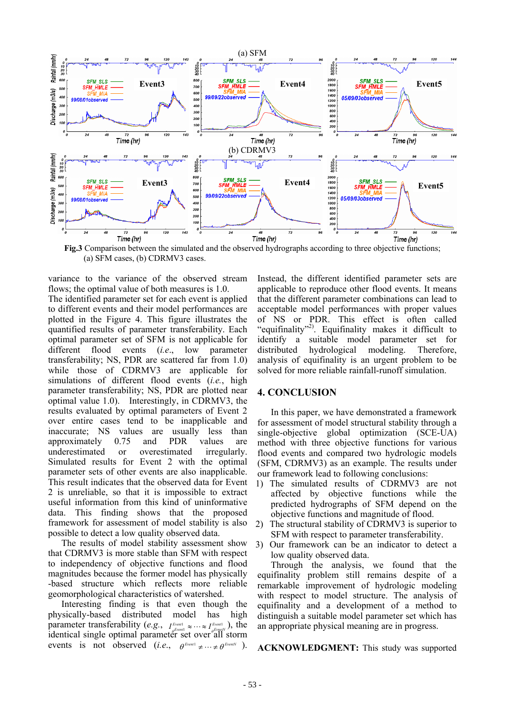

**Fig.3** Comparison between the simulated and the observed hydrographs according to three objective functions; (a) SFM cases, (b) CDRMV3 cases.

variance to the variance of the observed stream flows; the optimal value of both measures is 1.0. The identified parameter set for each event is applied to different events and their model performances are plotted in the Figure 4. This figure illustrates the quantified results of parameter transferability. Each optimal parameter set of SFM is not applicable for different flood events (*i.e*., low parameter transferability; NS, PDR are scattered far from 1.0) while those of CDRMV3 are applicable for simulations of different flood events (*i.e.*, high parameter transferability; NS, PDR are plotted near optimal value 1.0). Interestingly, in CDRMV3, the results evaluated by optimal parameters of Event 2 over entire cases tend to be inapplicable and inaccurate; NS values are usually less than approximately 0.75 and PDR values are underestimated or overestimated irregularly. Simulated results for Event 2 with the optimal parameter sets of other events are also inapplicable. This result indicates that the observed data for Event 2 is unreliable, so that it is impossible to extract useful information from this kind of uninformative data. This finding shows that the proposed framework for assessment of model stability is also possible to detect a low quality observed data.

The results of model stability assessment show that CDRMV3 is more stable than SFM with respect to independency of objective functions and flood magnitudes because the former model has physically -based structure which reflects more reliable geomorphological characteristics of watershed.

Interesting finding is that even though the physically-based distributed model has high parameter transferability (*e.g.*,  $I_{\rho^{Even1}}^{Event} \approx \cdots \approx I_{\rho^{Even1}}^{Event}$ ), the **identical single optimal parameter set over all storm** events is not observed  $(i.e., \theta^{Event} \neq ... \neq \theta^{Event})$ .

Instead, the different identified parameter sets are applicable to reproduce other flood events. It means that the different parameter combinations can lead to acceptable model performances with proper values of NS or PDR. This effect is often called "equifinality"<sup>2)</sup>. Equifinality makes it difficult to identify a suitable model parameter set for distributed hydrological modeling. Therefore, analysis of equifinality is an urgent problem to be solved for more reliable rainfall-runoff simulation.

#### **4. CONCLUSION**

In this paper, we have demonstrated a framework for assessment of model structural stability through a single-objective global optimization (SCE-UA) method with three objective functions for various flood events and compared two hydrologic models (SFM, CDRMV3) as an example. The results under our framework lead to following conclusions:

- 1) The simulated results of CDRMV3 are not affected by objective functions while the predicted hydrographs of SFM depend on the objective functions and magnitude of flood.
- 2) The structural stability of CDRMV3 is superior to SFM with respect to parameter transferability.
- 3) Our framework can be an indicator to detect a low quality observed data.

Through the analysis, we found that the equifinality problem still remains despite of a remarkable improvement of hydrologic modeling with respect to model structure. The analysis of equifinality and a development of a method to distinguish a suitable model parameter set which has an appropriate physical meaning are in progress.

**ACKNOWLEDGMENT:** This study was supported